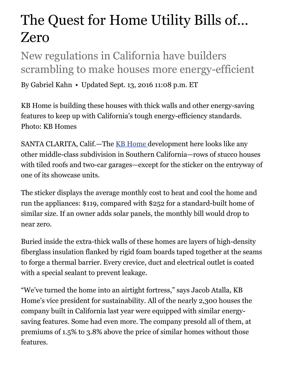## The Quest for Home Utility Bills of… Zero

## New regulations in California have builders scrambling to make houses more energy-efficient

By Gabriel Kahn • Updated Sept. 13, 2016 11:08 p.m. ET

KB Home is building these houses with thick walls and other energy-saving features to keep up with California's tough energy-efficiency standards. Photo: KB Homes

SANTA CLARITA, Calif.—The KB Home development here looks like any other middle-class subdivision in Southern California—rows of stucco houses with tiled roofs and two-car garages—except for the sticker on the entryway of one of its showcase units.

The sticker displays the average monthly cost to heat and cool the home and run the appliances: \$119, compared with \$252 for a standard-built home of similar size. If an owner adds solar panels, the monthly bill would drop to near zero.

Buried inside the extra-thick walls of these homes are layers of high-density fiberglass insulation flanked by rigid foam boards taped together at the seams to forge a thermal barrier. Every crevice, duct and electrical outlet is coated with a special sealant to prevent leakage.

"We've turned the home into an airtight fortress," says Jacob Atalla, KB Home's vice president for sustainability. All of the nearly 2,300 houses the company built in California last year were equipped with similar energysaving features. Some had even more. The company presold all of them, at premiums of 1.5% to 3.8% above the price of similar homes without those features.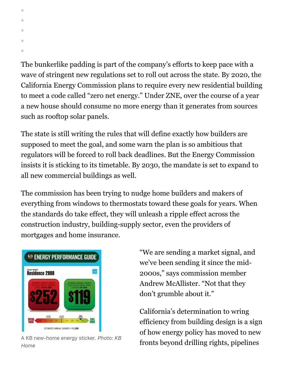The bunkerlike padding is part of the company's efforts to keep pace with a wave of stringent new regulations set to roll out across the state. By 2020, the California Energy Commission plans to require every new residential building to meet a code called "zero net energy." Under ZNE, over the course of a year a new house should consume no more energy than it generates from sources such as rooftop solar panels.

The state is still writing the rules that will define exactly how builders are supposed to meet the goal, and some warn the plan is so ambitious that regulators will be forced to roll back deadlines. But the Energy Commission insists it is sticking to its timetable. By 2030, the mandate is set to expand to all new commercial buildings as well.

The commission has been trying to nudge home builders and makers of everything from windows to thermostats toward these goals for years. When the standards do take effect, they will unleash a ripple effect across the construction industry, building-supply sector, even the providers of mortgages and home insurance.



A KB new-home energy sticker. *Photo: KB Home*

"We are sending a market signal, and we've been sending it since the mid-2000s," says commission member Andrew McAllister. "Not that they don't grumble about it."

California's determination to wring efficiency from building design is a sign of how energy policy has moved to new fronts beyond drilling rights, pipelines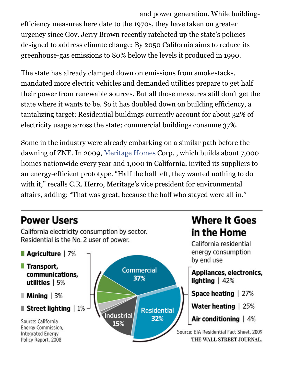and power generation. While buildingefficiency measures here date to the 1970s, they have taken on greater urgency since Gov. Jerry Brown recently ratcheted up the state's policies designed to address climate change: By 2050 California aims to reduce its greenhouse-gas emissions to 80% below the levels it produced in 1990.

The state has already clamped down on emissions from smokestacks, mandated more electric vehicles and demanded utilities prepare to get half their power from renewable sources. But all those measures still don't get the state where it wants to be. So it has doubled down on building efficiency, a tantalizing target: Residential buildings currently account for about 32% of electricity usage across the state; commercial buildings consume 37%.

Some in the industry were already embarking on a similar path before the dawning of ZNE. In 2009, Meritage Homes Corp., which builds about 7,000 homes nationwide every year and 1,000 in California, invited its suppliers to an energy-efficient prototype. "Half the hall left, they wanted nothing to do with it," recalls C.R. Herro, Meritage's vice president for environmental affairs, adding: "That was great, because the half who stayed were all in."

## **Power Users**

California electricity consumption by sector. Residential is the No. 2 user of power.





 $\blacksquare$  Mining  $\vert$  3%

**Street lighting** | 1%

Source: California Energy Commission, **Integrated Energy** Policy Report, 2008



## **Where It Goes** in the Home

California residential energy consumption by end use

Appliances, electronics, lighting  $|42%$ 

**Space heating | 27%** 

**Water heating | 25%** 

Air conditioning  $|4%$ 

Source: EIA Residential Fact Sheet, 2009 THE WALL STREET JOURNAL.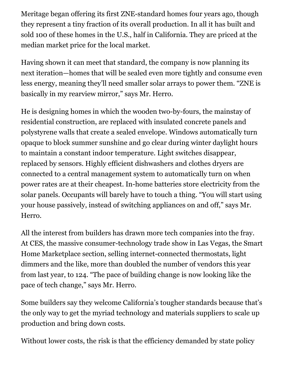Meritage began offering its first ZNE-standard homes four years ago, though they represent a tiny fraction of its overall production. In all it has built and sold 100 of these homes in the U.S., half in California. They are priced at the median market price for the local market.

Having shown it can meet that standard, the company is now planning its next iteration—homes that will be sealed even more tightly and consume even less energy, meaning they'll need smaller solar arrays to power them. "ZNE is basically in my rearview mirror," says Mr. Herro.

He is designing homes in which the wooden two-by-fours, the mainstay of residential construction, are replaced with insulated concrete panels and polystyrene walls that create a sealed envelope. Windows automatically turn opaque to block summer sunshine and go clear during winter daylight hours to maintain a constant indoor temperature. Light switches disappear, replaced by sensors. Highly efficient dishwashers and clothes dryers are connected to a central management system to automatically turn on when power rates are at their cheapest. In-home batteries store electricity from the solar panels. Occupants will barely have to touch a thing. "You will start using your house passively, instead of switching appliances on and off," says Mr. Herro.

All the interest from builders has drawn more tech companies into the fray. At CES, the massive consumer-technology trade show in Las Vegas, the Smart Home Marketplace section, selling internet-connected thermostats, light dimmers and the like, more than doubled the number of vendors this year from last year, to 124. "The pace of building change is now looking like the pace of tech change," says Mr. Herro.

Some builders say they welcome California's tougher standards because that's the only way to get the myriad technology and materials suppliers to scale up production and bring down costs.

Without lower costs, the risk is that the efficiency demanded by state policy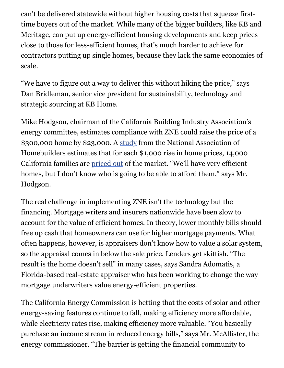can't be delivered statewide without higher housing costs that squeeze firsttime buyers out of the market. While many of the bigger builders, like KB and Meritage, can put up energy-efficient housing developments and keep prices close to those for less-efficient homes, that's much harder to achieve for contractors putting up single homes, because they lack the same economies of scale.

"We have to figure out a way to deliver this without hiking the price," says Dan Bridleman, senior vice president for sustainability, technology and strategic sourcing at KB Home.

Mike Hodgson, chairman of the California Building Industry Association's energy committee, estimates compliance with ZNE could raise the price of a \$300,000 home by \$23,000. A study from the National Association of Homebuilders estimates that for each \$1,000 rise in home prices, 14,000 California families are priced out of the market. "We'll have very efficient homes, but I don't know who is going to be able to afford them," says Mr. Hodgson.

The real challenge in implementing ZNE isn't the technology but the financing. Mortgage writers and insurers nationwide have been slow to account for the value of efficient homes. In theory, lower monthly bills should free up cash that homeowners can use for higher mortgage payments. What often happens, however, is appraisers don't know how to value a solar system, so the appraisal comes in below the sale price. Lenders get skittish. "The result is the home doesn't sell" in many cases, says Sandra Adomatis, a Florida-based real-estate appraiser who has been working to change the way mortgage underwriters value energy-efficient properties.

The California Energy Commission is betting that the costs of solar and other energy-saving features continue to fall, making efficiency more affordable, while electricity rates rise, making efficiency more valuable. "You basically purchase an income stream in reduced energy bills," says Mr. McAllister, the energy commissioner. "The barrier is getting the financial community to